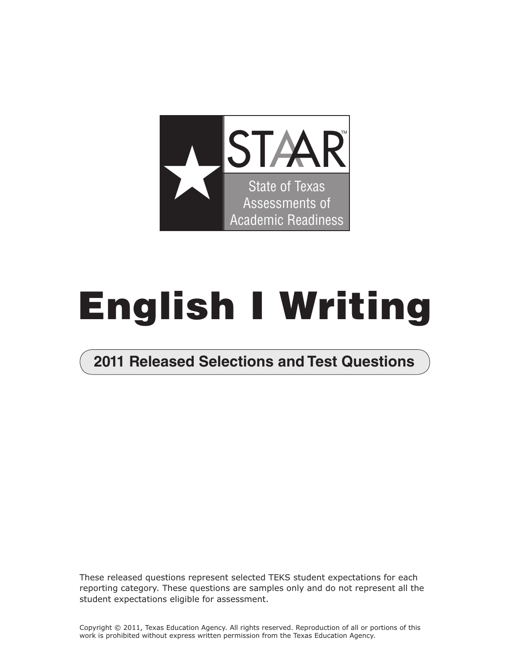

# **English I Writing**

### **2011 Released Selections and Test Questions**

These released questions represent selected TEKS student expectations for each reporting category. These questions are samples only and do not represent all the student expectations eligible for assessment.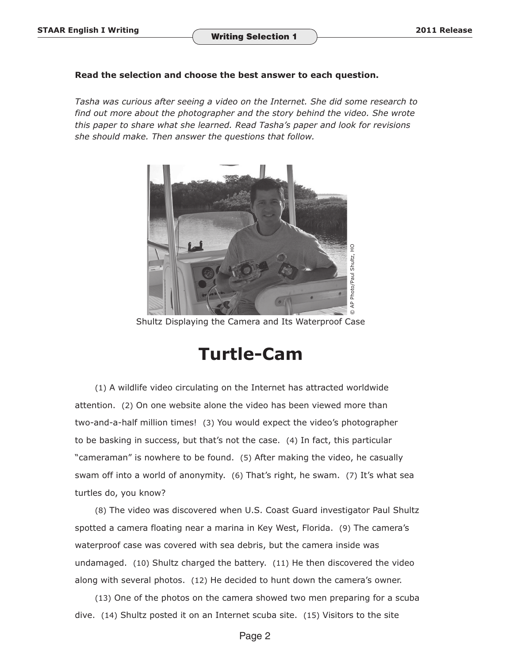#### **Read the selection and choose the best answer to each question.**

*Tasha was curious after seeing a video on the Internet. She did some research to*  find out more about the photographer and the story behind the video. She wrote *this paper to share what she learned. Read Tasha's paper and look for revisions she should make. Then answer the questions that follow.* 



Shultz Displaying the Camera and Its Waterproof Case

## **Turtle-Cam**

(1) A wildlife video circulating on the Internet has attracted worldwide attention. (2) On one website alone the video has been viewed more than two-and-a-half million times! (3) You would expect the video's photographer to be basking in success, but that's not the case. (4) In fact, this particular "cameraman" is nowhere to be found. (5) After making the video, he casually swam off into a world of anonymity. (6) That's right, he swam. (7) It's what sea turtles do, you know?

(8) The video was discovered when U.S. Coast Guard investigator Paul Shultz spotted a camera floating near a marina in Key West, Florida. (9) The camera's waterproof case was covered with sea debris, but the camera inside was undamaged. (10) Shultz charged the battery. (11) He then discovered the video along with several photos. (12) He decided to hunt down the camera's owner.

(13) One of the photos on the camera showed two men preparing for a scuba dive. (14) Shultz posted it on an Internet scuba site. (15) Visitors to the site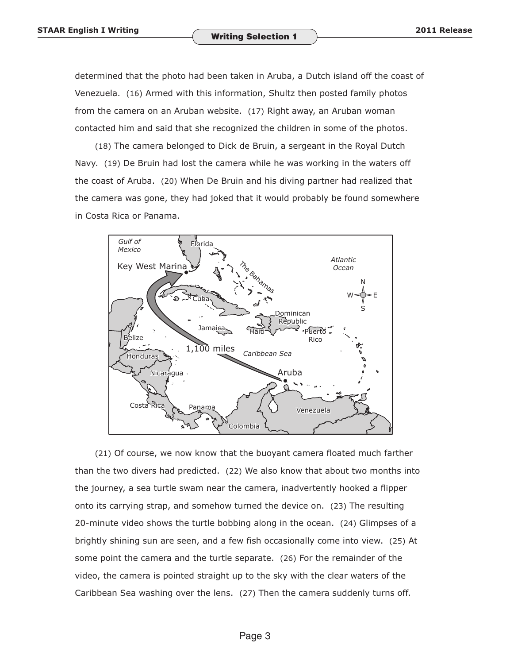determined that the photo had been taken in Aruba, a Dutch island off the coast of Venezuela. (16) Armed with this information, Shultz then posted family photos from the camera on an Aruban website. (17) Right away, an Aruban woman contacted him and said that she recognized the children in some of the photos.

(18) The camera belonged to Dick de Bruin, a sergeant in the Royal Dutch Navy. (19) De Bruin had lost the camera while he was working in the waters off the coast of Aruba. (20) When De Bruin and his diving partner had realized that the camera was gone, they had joked that it would probably be found somewhere in Costa Rica or Panama.



(21) Of course, we now know that the buoyant camera floated much farther than the two divers had predicted. (22) We also know that about two months into the journey, a sea turtle swam near the camera, inadvertently hooked a flipper onto its carrying strap, and somehow turned the device on. (23) The resulting 20-minute video shows the turtle bobbing along in the ocean. (24) Glimpses of a brightly shining sun are seen, and a few fish occasionally come into view. (25) At some point the camera and the turtle separate. (26) For the remainder of the video, the camera is pointed straight up to the sky with the clear waters of the Caribbean Sea washing over the lens. (27) Then the camera suddenly turns off.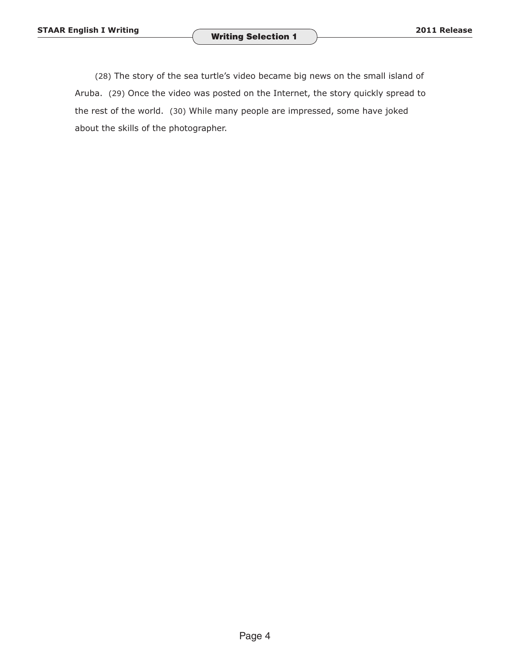(28) The story of the sea turtle's video became big news on the small island of Aruba. (29) Once the video was posted on the Internet, the story quickly spread to the rest of the world. (30) While many people are impressed, some have joked about the skills of the photographer.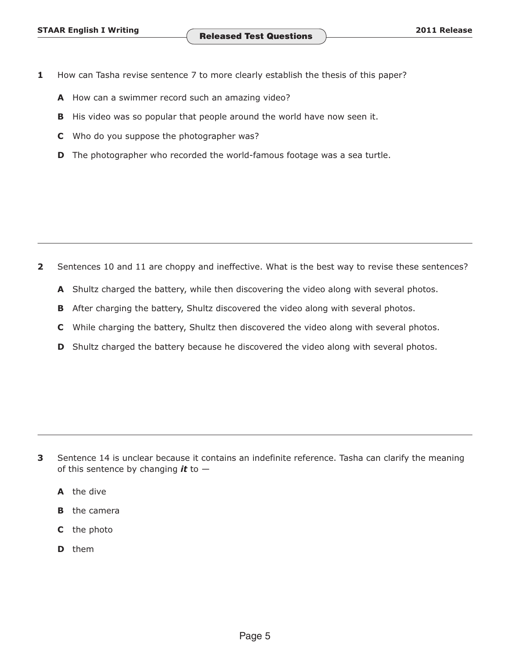- **1** How can Tasha revise sentence 7 to more clearly establish the thesis of this paper?
	- **A** How can a swimmer record such an amazing video?
	- **B** His video was so popular that people around the world have now seen it.
	- **C** Who do you suppose the photographer was?
	- **D** The photographer who recorded the world-famous footage was a sea turtle.

**2** Sentences 10 and 11 are choppy and ineffective. What is the best way to revise these sentences?

- **A** Shultz charged the battery, while then discovering the video along with several photos.
- **B** After charging the battery, Shultz discovered the video along with several photos.
- **C** While charging the battery, Shultz then discovered the video along with several photos.
- **D** Shultz charged the battery because he discovered the video along with several photos.

- **3** Sentence 14 is unclear because it contains an indefinite reference. Tasha can clarify the meaning of this sentence by changing *it* to —
	- **A** the dive
	- **B** the camera
	- **C** the photo
	- **D** them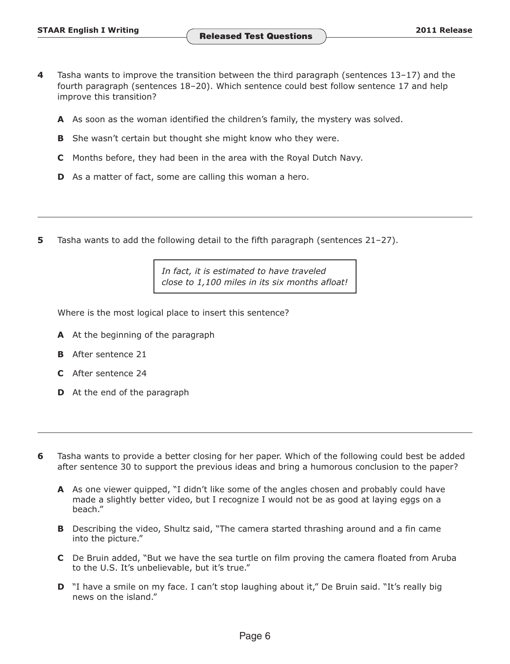- **4**  Tasha wants to improve the transition between the third paragraph (sentences 13–17) and the fourth paragraph (sentences 18–20). Which sentence could best follow sentence 17 and help improve this transition?
	- **A** As soon as the woman identified the children's family, the mystery was solved.
	- **B** She wasn't certain but thought she might know who they were.
	- **C** Months before, they had been in the area with the Royal Dutch Navy.
	- **D** As a matter of fact, some are calling this woman a hero.
- **5** Tasha wants to add the following detail to the fifth paragraph (sentences 21–27).

*In fact, it is estimated to have traveled close to 1,100 miles in its six months afloat!* 

Where is the most logical place to insert this sentence?

- **A** At the beginning of the paragraph
- **B** After sentence 21
- **C** After sentence 24
- **D** At the end of the paragraph
- **6** Tasha wants to provide a better closing for her paper. Which of the following could best be added after sentence 30 to support the previous ideas and bring a humorous conclusion to the paper?
	- **A** As one viewer quipped, "I didn't like some of the angles chosen and probably could have made a slightly better video, but I recognize I would not be as good at laying eggs on a beach."
	- **B** Describing the video, Shultz said, "The camera started thrashing around and a fin came into the picture."
	- **C** De Bruin added, "But we have the sea turtle on film proving the camera floated from Aruba to the U.S. It's unbelievable, but it's true."
	- **D** "I have a smile on my face. I can't stop laughing about it," De Bruin said. "It's really big news on the island."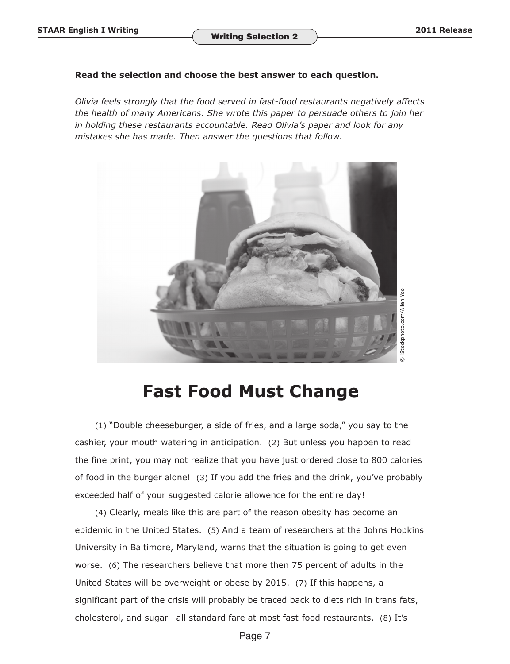#### **Read the selection and choose the best answer to each question.**

*Olivia feels strongly that the food served in fast-food restaurants negatively affects the health of many Americans. She wrote this paper to persuade others to join her in holding these restaurants accountable. Read Olivia's paper and look for any mistakes she has made. Then answer the questions that follow.* 



#### **Fast Food Must Change**

(1) "Double cheeseburger, a side of fries, and a large soda," you say to the cashier, your mouth watering in anticipation. (2) But unless you happen to read the fine print, you may not realize that you have just ordered close to 800 calories of food in the burger alone! (3) If you add the fries and the drink, you've probably exceeded half of your suggested calorie allowence for the entire day!

(4) Clearly, meals like this are part of the reason obesity has become an epidemic in the United States. (5) And a team of researchers at the Johns Hopkins University in Baltimore, Maryland, warns that the situation is going to get even worse. (6) The researchers believe that more then 75 percent of adults in the United States will be overweight or obese by 2015. (7) If this happens, a significant part of the crisis will probably be traced back to diets rich in trans fats, cholesterol, and sugar—all standard fare at most fast-food restaurants. (8) It's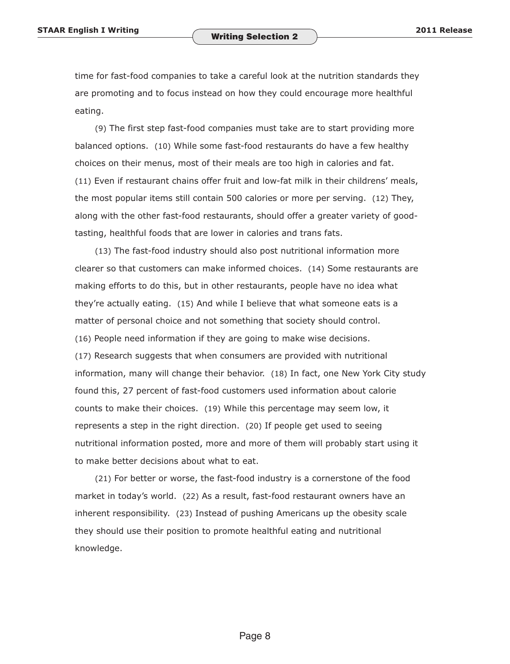time for fast-food companies to take a careful look at the nutrition standards they are promoting and to focus instead on how they could encourage more healthful eating.

(9) The first step fast-food companies must take are to start providing more balanced options. (10) While some fast-food restaurants do have a few healthy choices on their menus, most of their meals are too high in calories and fat. (11) Even if restaurant chains offer fruit and low-fat milk in their childrens' meals, the most popular items still contain 500 calories or more per serving. (12) They, along with the other fast-food restaurants, should offer a greater variety of goodtasting, healthful foods that are lower in calories and trans fats.

(13) The fast-food industry should also post nutritional information more clearer so that customers can make informed choices. (14) Some restaurants are making efforts to do this, but in other restaurants, people have no idea what they're actually eating. (15) And while I believe that what someone eats is a matter of personal choice and not something that society should control. (16) People need information if they are going to make wise decisions. (17) Research suggests that when consumers are provided with nutritional information, many will change their behavior. (18) In fact, one New York City study found this, 27 percent of fast-food customers used information about calorie counts to make their choices. (19) While this percentage may seem low, it represents a step in the right direction. (20) If people get used to seeing nutritional information posted, more and more of them will probably start using it to make better decisions about what to eat.

(21) For better or worse, the fast-food industry is a cornerstone of the food market in today's world. (22) As a result, fast-food restaurant owners have an inherent responsibility. (23) Instead of pushing Americans up the obesity scale they should use their position to promote healthful eating and nutritional knowledge.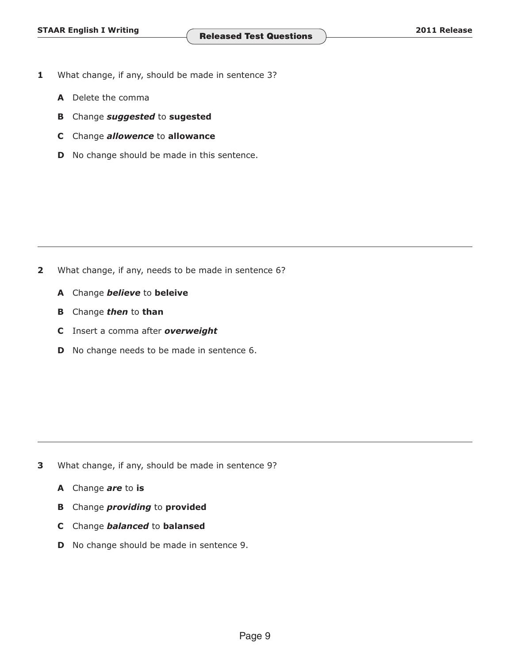- **1** What change, if any, should be made in sentence 3?
	- **A** Delete the comma
	- **B** Change *suggested* to **sugested**
	- **C** Change *allowence* to **allowance**
	- **D** No change should be made in this sentence.

- **2**  What change, if any, needs to be made in sentence 6?
	- **A** Change *believe* to **beleive**
	- **B** Change *then* to **than**
	- **C** Insert a comma after *overweight*
	- **D** No change needs to be made in sentence 6.

- **3** What change, if any, should be made in sentence 9?
	- **A** Change *are* to **is**
	- **B** Change *providing* to **provided**
	- **C** Change *balanced* to **balansed**
	- **D** No change should be made in sentence 9.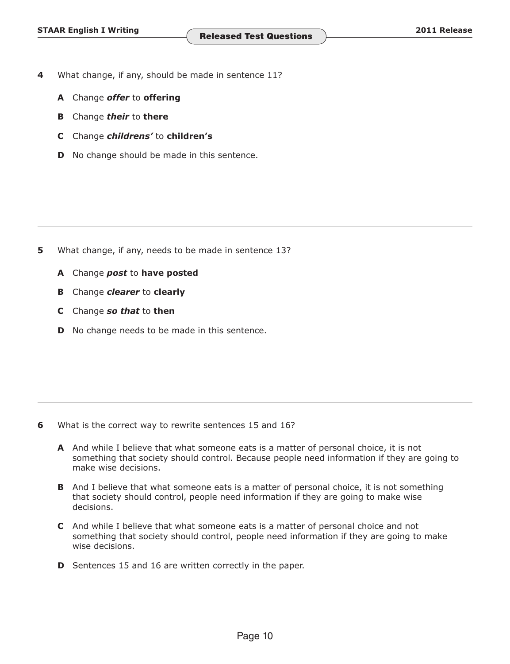- **4** What change, if any, should be made in sentence 11?
	- **A** Change *offer* to **offering**
	- **B** Change *their* to **there**
	- **C** Change *childrens'* to **children's**
	- **D** No change should be made in this sentence.

- **5** What change, if any, needs to be made in sentence 13?
	- **A** Change *post* to **have posted**
	- **B** Change *clearer* to **clearly**
	- **C** Change *so that* to **then**
	- **D** No change needs to be made in this sentence.

- **6** What is the correct way to rewrite sentences 15 and 16?
	- **A** And while I believe that what someone eats is a matter of personal choice, it is not something that society should control. Because people need information if they are going to make wise decisions.
	- **B** And I believe that what someone eats is a matter of personal choice, it is not something that society should control, people need information if they are going to make wise decisions.
	- **C** And while I believe that what someone eats is a matter of personal choice and not something that society should control, people need information if they are going to make wise decisions.
	- **D** Sentences 15 and 16 are written correctly in the paper.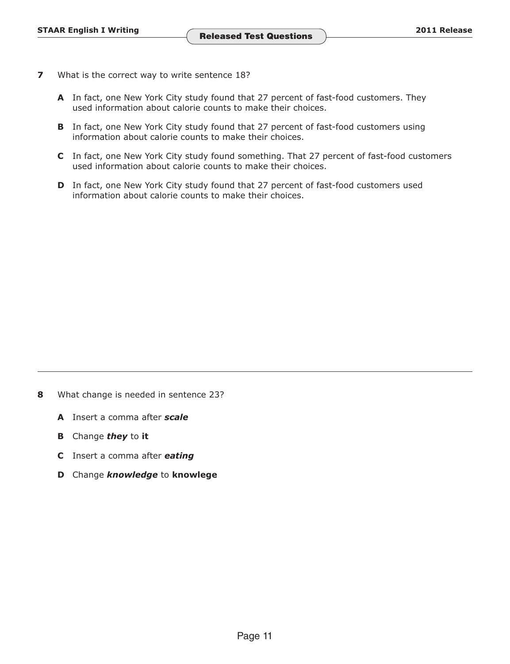- **7** What is the correct way to write sentence 18?
	- **A** In fact, one New York City study found that 27 percent of fast-food customers. They used information about calorie counts to make their choices.
	- **B** In fact, one New York City study found that 27 percent of fast-food customers using information about calorie counts to make their choices.
	- **C** In fact, one New York City study found something. That 27 percent of fast-food customers used information about calorie counts to make their choices.
	- **D** In fact, one New York City study found that 27 percent of fast-food customers used information about calorie counts to make their choices.

- **8** What change is needed in sentence 23?
	- **A** Insert a comma after *scale*
	- **B** Change *they* to **it**
	- **C** Insert a comma after *eating*
	- **D** Change *knowledge* to **knowlege**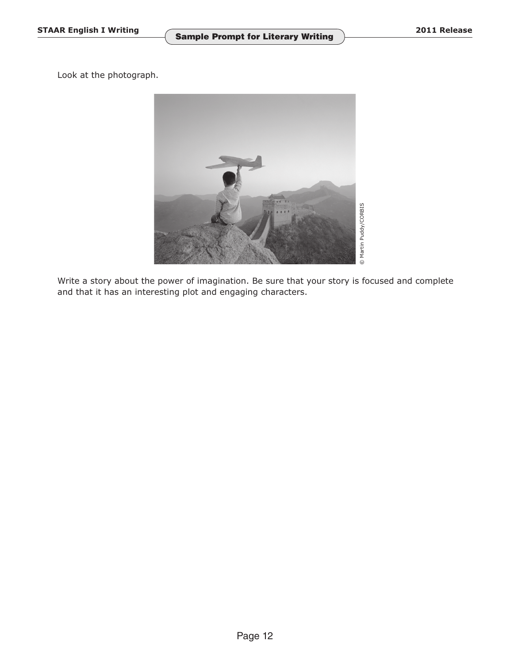Look at the photograph.



Write a story about the power of imagination. Be sure that your story is focused and complete and that it has an interesting plot and engaging characters.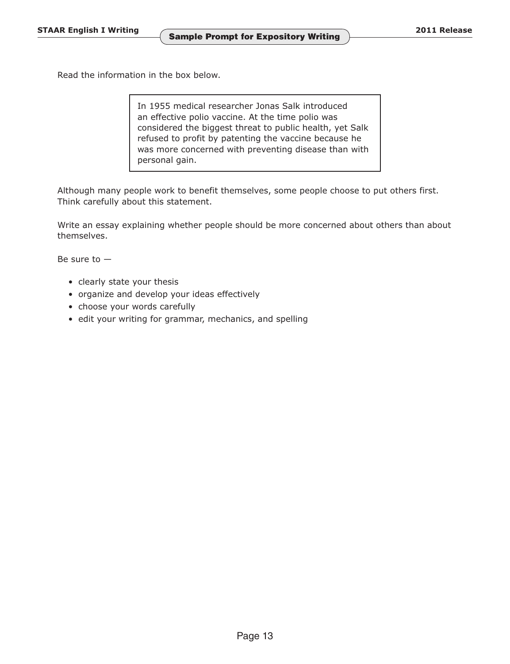Read the information in the box below.

In 1955 medical researcher Jonas Salk introduced an effective polio vaccine. At the time polio was considered the biggest threat to public health, yet Salk refused to profit by patenting the vaccine because he was more concerned with preventing disease than with personal gain.

Although many people work to benefit themselves, some people choose to put others first. Think carefully about this statement.

Write an essay explaining whether people should be more concerned about others than about themselves.

Be sure to  $-$ 

- clearly state your thesis
- organize and develop your ideas effectively
- choose your words carefully
- edit your writing for grammar, mechanics, and spelling